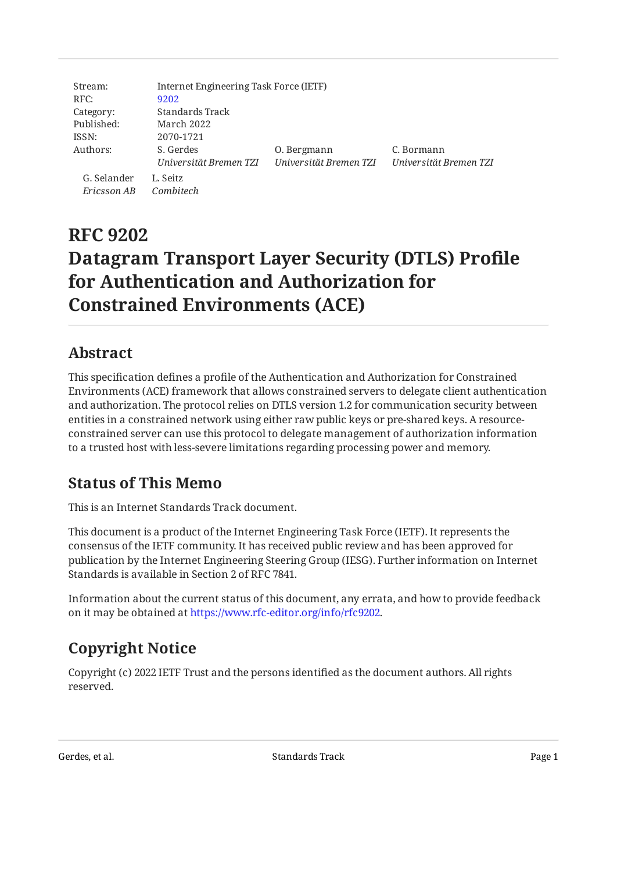| Stream:     | Internet Engineering Task Force (IETF) |                        |                        |
|-------------|----------------------------------------|------------------------|------------------------|
| RFC:        | 9202                                   |                        |                        |
| Category:   | Standards Track                        |                        |                        |
| Published:  | March 2022                             |                        |                        |
| ISSN:       | 2070-1721                              |                        |                        |
| Authors:    | S. Gerdes                              | 0. Bergmann            | C. Bormann             |
|             | Universität Bremen TZI                 | Universität Bremen TZI | Universität Bremen TZI |
| G. Selander | L. Seitz                               |                        |                        |
| Ericsson AB | Combitech                              |                        |                        |

# **RFC 9202 Datagram Transport Layer Security (DTLS) Profile for Authentication and Authorization for Constrained Environments (ACE)**

### <span id="page-0-0"></span>**[Abstract](#page-0-0)**

This specification defines a profile of the Authentication and Authorization for Constrained Environments (ACE) framework that allows constrained servers to delegate client authentication and authorization. The protocol relies on DTLS version 1.2 for communication security between entities in a constrained network using either raw public keys or pre-shared keys. A resourceconstrained server can use this protocol to delegate management of authorization information to a trusted host with less-severe limitations regarding processing power and memory.

## <span id="page-0-1"></span>**[Status of This Memo](#page-0-1)**

This is an Internet Standards Track document.

This document is a product of the Internet Engineering Task Force (IETF). It represents the consensus of the IETF community. It has received public review and has been approved for publication by the Internet Engineering Steering Group (IESG). Further information on Internet Standards is available in Section 2 of RFC 7841.

Information about the current status of this document, any errata, and how to provide feedback on it may be obtained at [https://www.rfc-editor.org/info/rfc9202.](https://www.rfc-editor.org/info/rfc9202)

# <span id="page-0-2"></span>**[Copyright Notice](#page-0-2)**

Copyright (c) 2022 IETF Trust and the persons identified as the document authors. All rights reserved.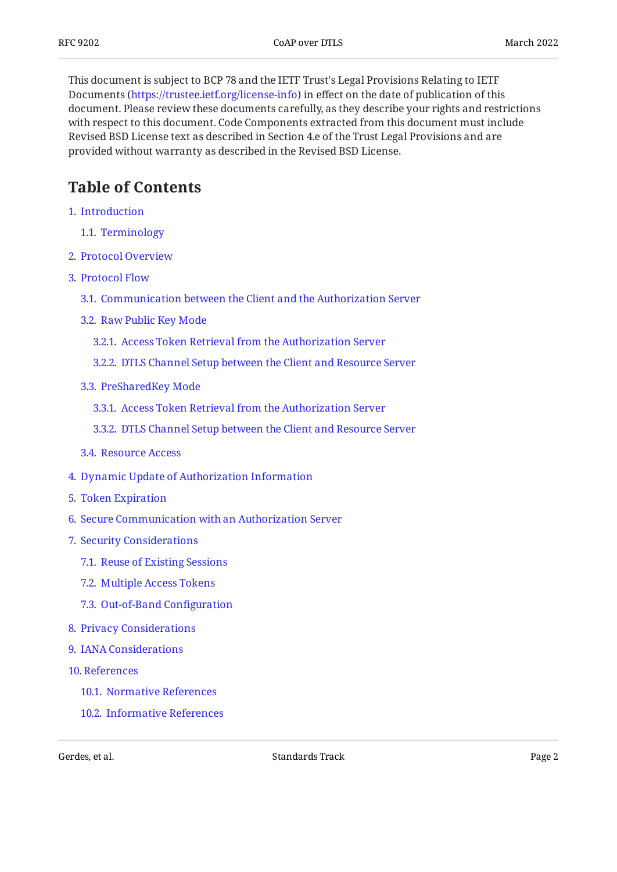This document is subject to BCP 78 and the IETF Trust's Legal Provisions Relating to IETF Documents (<https://trustee.ietf.org/license-info>) in effect on the date of publication of this document. Please review these documents carefully, as they describe your rights and restrictions with respect to this document. Code Components extracted from this document must include Revised BSD License text as described in Section 4.e of the Trust Legal Provisions and are provided without warranty as described in the Revised BSD License.

## <span id="page-1-0"></span>**[Table of Contents](#page-1-0)**

- [1](#page-2-0). [Introduction](#page-2-0)
	- [1.1.](#page-3-0) [Terminology](#page-3-0)
- [2](#page-3-1). [Protocol Overview](#page-3-1)
- [3](#page-4-0). [Protocol Flow](#page-4-0)
	- [3.1.](#page-5-0) [Communication between the Client and the Authorization Server](#page-5-0)
	- [3.2.](#page-5-1) [Raw Public Key Mode](#page-5-1)
		- [3.2.1](#page-5-2). [Access Token Retrieval from the Authorization Server](#page-5-2)
		- [3.2.2](#page-7-0). [DTLS Channel Setup between the Client and Resource Server](#page-7-0)
	- [3.3.](#page-8-0) [PreSharedKey Mode](#page-8-0)
		- [3.3.1](#page-8-1). [Access Token Retrieval from the Authorization Server](#page-8-1)
		- [3.3.2](#page-12-0). [DTLS Channel Setup between the Client and Resource Server](#page-12-0)
	- [3.4.](#page-14-0) [Resource Access](#page-14-0)
- [4](#page-15-0). [Dynamic Update of Authorization Information](#page-15-0)
- [5](#page-16-0). [Token Expiration](#page-16-0)
- [6](#page-16-1). [Secure Communication with an Authorization Server](#page-16-1)
- [7](#page-17-0). [Security Considerations](#page-17-0)
	- [7.1.](#page-18-0) [Reuse of Existing Sessions](#page-18-0)
	- [7.2.](#page-18-1) [Multiple Access Tokens](#page-18-1)
	- [7.3.](#page-18-2) [Out-of-Band Con](#page-18-2)figuration
- [8](#page-19-0). [Privacy Considerations](#page-19-0)
- [9](#page-19-1). [IANA Considerations](#page-19-1)
- [10](#page-19-2). [References](#page-19-2)
	- [10.1.](#page-19-3) [Normative References](#page-19-3)
	- [10.2.](#page-21-0) [Informative References](#page-21-0)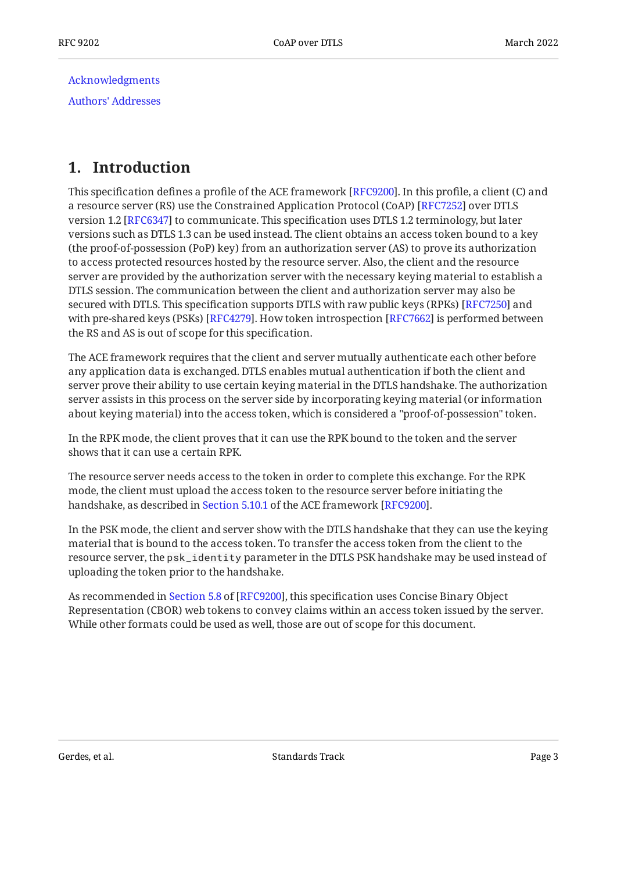[Acknowledgments](#page-21-1) [Authors' Addresses](#page-22-0)

## <span id="page-2-0"></span>**[1. Introduction](#page-2-0)**

This specification defines a profile of the ACE framework [\[RFC9200](#page-21-2)]. In this profile, a client (C) and a resource server (RS) use the Constrained Application Protocol (CoAP) [RFC7252] over DTLS version 1.2 [RFC6347] to communicate. This specification uses DTLS 1.2 terminology, but later versions such as DTLS 1.3 can be used instead. The client obtains an access token bound to a key (the proof-of-possession (PoP) key) from an authorization server (AS) to prove its authorization to access protected resources hosted by the resource server. Also, the client and the resource server are provided by the authorization server with the necessary keying material to establish a DTLS session. The communication between the client and authorization server may also be secured with DTLS. This specification supports DTLS with raw public keys (RPKs) [RFC7250] and with pre-shared keys (PSKs) [RFC4279]. How token introspection [RFC7662] is performed between the RS and AS is out of scope for this specification.

The ACE framework requires that the client and server mutually authenticate each other before any application data is exchanged. DTLS enables mutual authentication if both the client and server prove their ability to use certain keying material in the DTLS handshake. The authorization server assists in this process on the server side by incorporating keying material (or information about keying material) into the access token, which is considered a "proof-of-possession" token.

In the RPK mode, the client proves that it can use the RPK bound to the token and the server shows that it can use a certain RPK.

The resource server needs access to the token in order to complete this exchange. For the RPK mode, the client must upload the access token to the resource server before initiating the handshake,as described in Section 5.10.1 of the ACE framework [RFC9200].

In the PSK mode, the client and server show with the DTLS handshake that they can use the keying material that is bound to the access token. To transfer the access token from the client to the resource server, the psk\_identity parameter in the DTLS PSK handshake may be used instead of uploading the token prior to the handshake.

Asrecommended in Section 5.8 of [RFC9200], this specification uses Concise Binary Object Representation (CBOR) web tokens to convey claims within an access token issued by the server. While other formats could be used as well, those are out of scope for this document.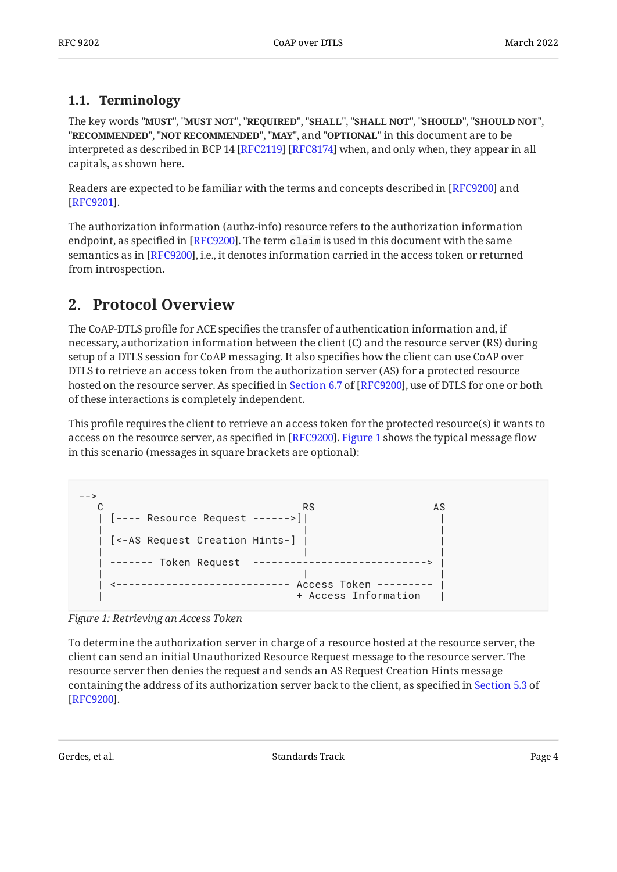### <span id="page-3-0"></span>**[1.1. Terminology](#page-3-0)**

The key words "MUST", "MUST NOT", "REQUIRED", "SHALL", "SHALL NOT", "SHOULD", "SHOULD NOT", "**RECOMMENDED", "NOT RECOMMENDED", "MAY",** and "OPTIONAL" in this document are to be interpreted as described in BCP 14 [RFC2119] [RFC8174] when, and only when, they appear in all capitals, as shown here.

Readers are expected to be familiar with the terms and concepts described in [RFC9200] and . [[RFC9201\]](#page-21-4)

The authorization information (authz-info) resource refers to the authorization information endpoint, as specified in [RFC9200]. The term  $c$  laim is used in this document with the same semantics as in [RFC9200], i.e., it denotes information carried in the access token or returned from introspection.

### <span id="page-3-1"></span>**[2. Protocol Overview](#page-3-1)**

The CoAP-DTLS profile for ACE specifies the transfer of authentication information and, if necessary, authorization information between the client (C) and the resource server (RS) during setup of a DTLS session for CoAP messaging. It also specifies how the client can use CoAP over DTLS to retrieve an access token from the authorization server (AS) for a protected resource hostedon the resource server. As specified in Section 6.7 of [RFC9200], use of DTLS for one or both of these interactions is completely independent.

This profile requires the client to retrieve an access token for the protected resource(s) it wants to access on the resource server, as specified in [RFC9200]. [Figure 1](#page-3-2) shows the typical message flow in this scenario (messages in square brackets are optional):

```
-->
 C RS AS
 | [---- Resource Request ------>]| |
 | | |
  | [<-AS Request Creation Hints-] | |
 | | |
  | ------- Token Request ----------------------------> |
 | | |
   | <---------------------------- Access Token --------- |
                   | + Access Information |
```
*[Figure 1: Retrieving an Access Token](#page-3-2)* 

To determine the authorization server in charge of a resource hosted at the resource server, the client can send an initial Unauthorized Resource Request message to the resource server. The resource server then denies the request and sends an AS Request Creation Hints message containing the address of its authorization server back to the client, as specified in [Section 5.3](https://www.rfc-editor.org/rfc/rfc9200#section-5.3) of . [[RFC9200\]](#page-21-2)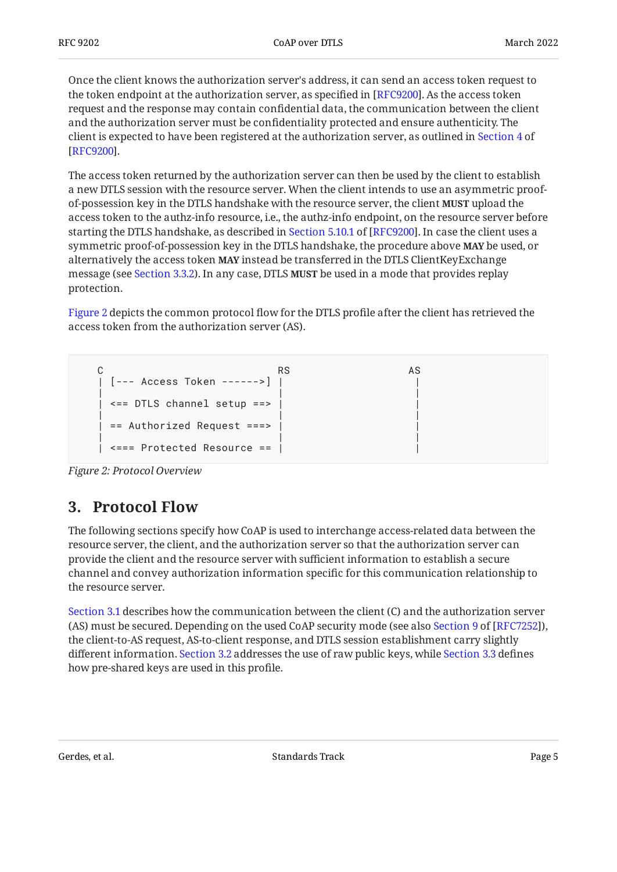Once the client knows the authorization server's address, it can send an access token request to the token endpoint at the authorization server, as specified in [[RFC9200\]](#page-21-2). As the access token request and the response may contain confidential data, the communication between the client and the authorization server must be confidentiality protected and ensure authenticity. The client is expected to have been registered at the authorization server, as outlined in [Section 4](https://www.rfc-editor.org/rfc/rfc9200#section-4) of . [[RFC9200\]](#page-21-2)

The access token returned by the authorization server can then be used by the client to establish a new DTLS session with the resource server. When the client intends to use an asymmetric proofof-possession key in the DTLS handshake with the resource server, the client **MUST** upload the access token to the authz-info resource, i.e., the authz-info endpoint, on the resource server before startingthe DTLS handshake, as described in Section 5.10.1 of [RFC9200]. In case the client uses a symmetric proof-of-possession key in the DTLS handshake, the procedure above **MAY** be used, or alternatively the access token **MAY** instead be transferred in the DTLS ClientKeyExchange message (see [Section 3.3.2\)](#page-12-0). In any case, DTLS **MUST** be used in a mode that provides replay protection.

[Figure 2](#page-4-1) depicts the common protocol flow for the DTLS profile after the client has retrieved the access token from the authorization server (AS).

<span id="page-4-1"></span>C AS RS AS | [--- Access Token ------>] | | | | |  $|$  <== DTLS channel setup ==> | | |  $\vert$  == Authorized Request ===> | | |  $\leq ==$  Protected Resource  $==$  |

<span id="page-4-0"></span>

### **[3. Protocol Flow](#page-4-0)**

The following sections specify how CoAP is used to interchange access-related data between the resource server, the client, and the authorization server so that the authorization server can provide the client and the resource server with sufficient information to establish a secure channel and convey authorization information specific for this communication relationship to the resource server.

[Section 3.1](#page-5-0) describes how the communication between the client (C) and the authorization server (AS)must be secured. Depending on the used CoAP security mode (see also Section 9 of [RFC7252]), the client-to-AS request, AS-to-client response, and DTLS session establishment carry slightly different information. [Section 3.2](#page-5-1) addresses the use of raw public keys, while [Section 3.3](#page-8-0) defines how pre-shared keys are used in this profile.

Gerdes, et al. Standards Track Standards Track Page 5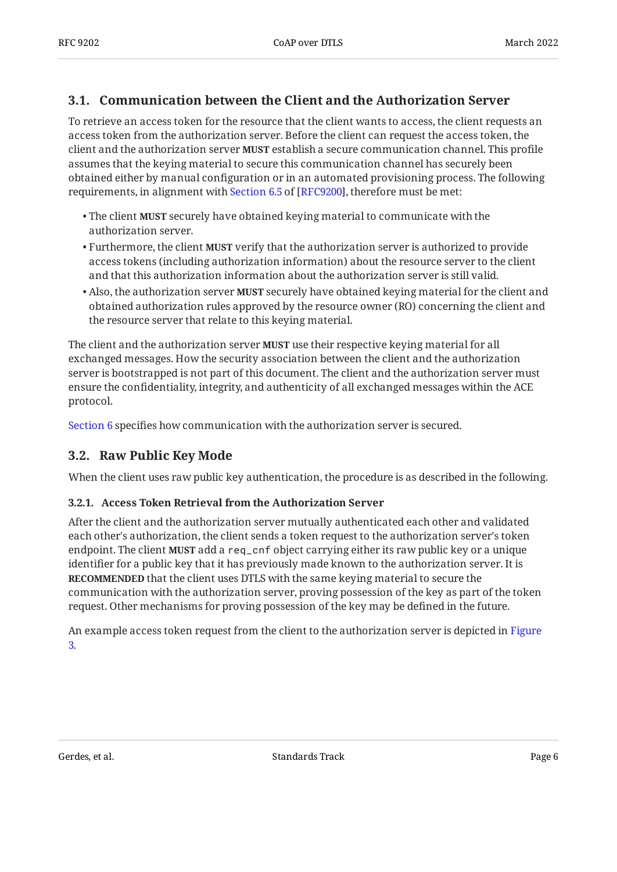### <span id="page-5-0"></span>**[3.1. Communication between the Client and the Authorization Server](#page-5-0)**

To retrieve an access token for the resource that the client wants to access, the client requests an access token from the authorization server. Before the client can request the access token, the client and the authorization server **MUST** establish a secure communication channel. This profile assumes that the keying material to secure this communication channel has securely been obtained either by manual configuration or in an automated provisioning process. The following requirements,in alignment with Section 6.5 of [RFC9200], therefore must be met:

- $\bullet$  The client **MUST** securely have obtained keying material to communicate with the authorization server.
- $\bullet$  Furthermore, the client **MUST** verify that the authorization server is authorized to provide access tokens (including authorization information) about the resource server to the client and that this authorization information about the authorization server is still valid.
- $\bullet$  Also, the authorization server **MUST** securely have obtained keying material for the client and obtained authorization rules approved by the resource owner (RO) concerning the client and the resource server that relate to this keying material.

The client and the authorization server **MUST** use their respective keying material for all exchanged messages. How the security association between the client and the authorization server is bootstrapped is not part of this document. The client and the authorization server must ensure the confidentiality, integrity, and authenticity of all exchanged messages within the ACE protocol.

<span id="page-5-1"></span>[Section 6](#page-16-1) specifies how communication with the authorization server is secured.

### **[3.2. Raw Public Key Mode](#page-5-1)**

<span id="page-5-2"></span>When the client uses raw public key authentication, the procedure is as described in the following.

#### **[3.2.1. Access Token Retrieval from the Authorization Server](#page-5-2)**

After the client and the authorization server mutually authenticated each other and validated each other's authorization, the client sends a token request to the authorization server's token endpoint. The client **MUST** add a req\_cnf object carrying either its raw public key or a unique identifier for a public key that it has previously made known to the authorization server. It is **RECOMMENDED** that the client uses DTLS with the same keying material to secure the communication with the authorization server, proving possession of the key as part of the token request. Other mechanisms for proving possession of the key may be defined in the future.

<span id="page-5-3"></span>An example access token request from the client to the authorization server is depicted in [Figure](#page-6-0) [3](#page-6-0).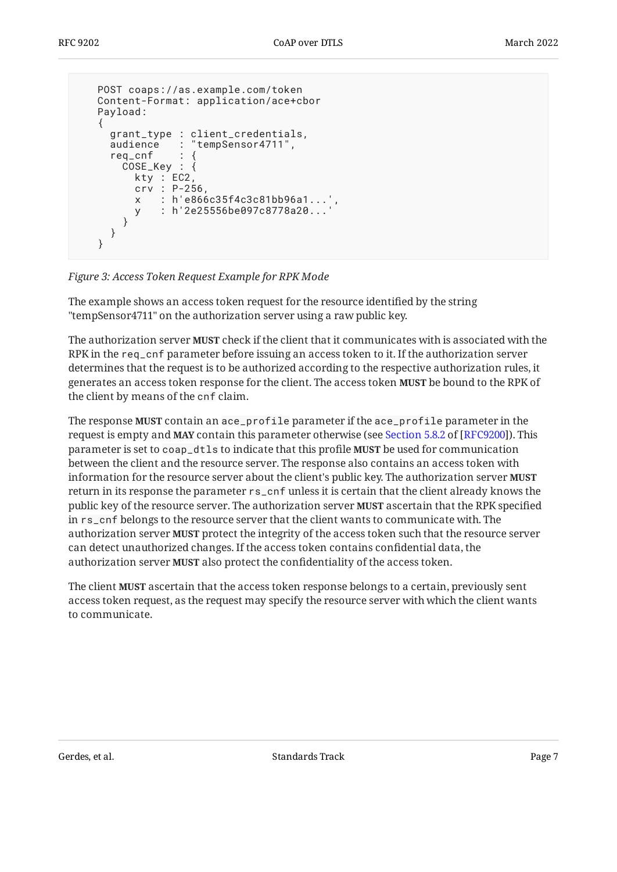```
 POST coaps://as.example.com/token
   Content-Format: application/ace+cbor
   Payload:
    {
 grant_type : client_credentials,
 audience : "tempSensor4711",
    req\_cnfCOSE_Key : \{ kty : EC2,
         crv : P-256,
         x : h'e866c35f4c3c81bb96a1...',
        y : h'2e25556be097c8778a20...
       }
     }
   }
```
*[Figure 3:](#page-6-0) [Access Token Request Example for RPK Mode](#page-5-3)* 

The example shows an access token request for the resource identified by the string "tempSensor4711" on the authorization server using a raw public key.

The authorization server **MUST** check if the client that it communicates with is associated with the RPK in the req\_cnf parameter before issuing an access token to it. If the authorization server determines that the request is to be authorized according to the respective authorization rules, it generates an access token response for the client. The access token **MUST** be bound to the RPK of the client by means of the cnf claim.

The response **MUST** contain an ace\_profile parameter if the ace\_profile parameter in the requestis empty and **MAY** contain this parameter otherwise (see Section 5.8.2 of [RFC9200]). This parameter is set to <code>coap\_dtls</code> to indicate that this profile **MUST** be used for communication between the client and the resource server. The response also contains an access token with information for the resource server about the client's public key. The authorization server **MUST** return in its response the parameter rs\_cnf unless it is certain that the client already knows the public key of the resource server. The authorization server **MUST** ascertain that the RPK specified in rs\_cnf belongs to the resource server that the client wants to communicate with. The authorization server **MUST** protect the integrity of the access token such that the resource server can detect unauthorized changes. If the access token contains confidential data, the authorization server **MUST** also protect the confidentiality of the access token.

The client **MUST** ascertain that the access token response belongs to a certain, previously sent access token request, as the request may specify the resource server with which the client wants to communicate.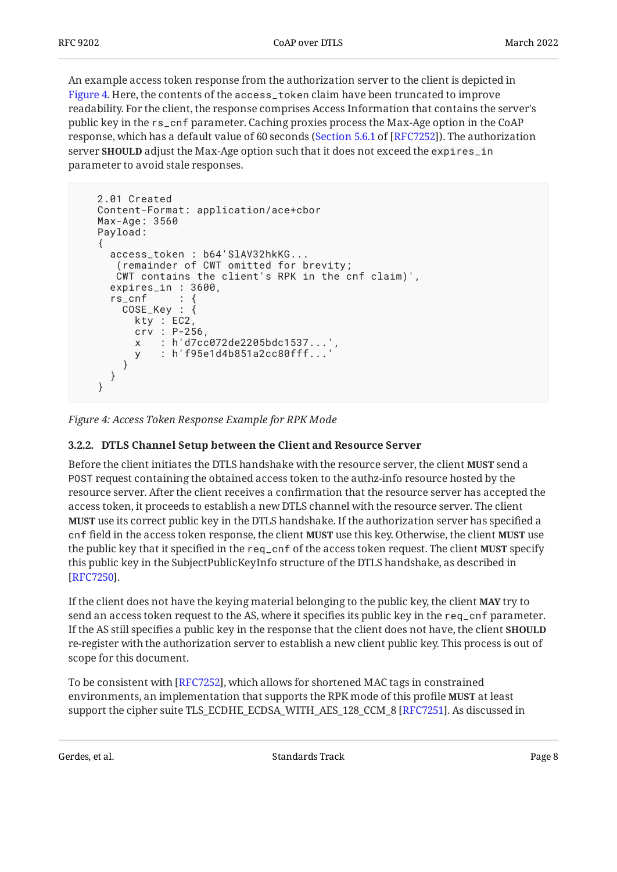An example access token response from the authorization server to the client is depicted in [Figure 4.](#page-7-1) Here, the contents of the access\_token claim have been truncated to improve readability. For the client, the response comprises Access Information that contains the server's public key in the rs\_cnf parameter. Caching proxies process the Max-Age option in the CoAP response, which has a default value of 60 seconds ([Section 5.6.1](https://www.rfc-editor.org/rfc/rfc7252#section-5.6.1) of [\[RFC7252\]](#page-20-0)). The authorization server **SHOULD** adjust the Max-Age option such that it does not exceed the expires\_in parameter to avoid stale responses.

```
 2.01 Created
 Content-Format: application/ace+cbor
 Max-Age: 3560
 Payload:
 {
   access_token : b64'SlAV32hkKG...
    (remainder of CWT omitted for brevity;
    CWT contains the client's RPK in the cnf claim)',
   expires_in : 3600,
  rs\_cnf COSE_Key : {
       kty : EC2,
       crv : P-256,
      x : h'd7cc072de2205bdc1537...',
       y : h'f95e1d4b851a2cc80fff...'
     }
   }
 }
```
<span id="page-7-0"></span>*[Figure 4: Access Token Response Example for RPK Mode](#page-7-1)* 

#### **[3.2.2. DTLS Channel Setup between the Client and Resource Server](#page-7-0)**

Before the client initiates the DTLS handshake with the resource server, the client **MUST** send a POST request containing the obtained access token to the authz-info resource hosted by the resource server. After the client receives a confirmation that the resource server has accepted the access token, it proceeds to establish a new DTLS channel with the resource server. The client **MUST** use its correct public key in the DTLS handshake. If the authorization server has specified a cnf field in the access token response, the client **MUST** use this key. Otherwise, the client **MUST** use the public key that it specified in the <code>req\_cnf</code> of the access token request. The client **MUST** specify this public key in the SubjectPublicKeyInfo structure of the DTLS handshake, as described in . [[RFC7250\]](#page-20-2)

If the client does not have the keying material belonging to the public key, the client **MAY** try to send an access token request to the AS, where it specifies its public key in the req\_cnf parameter. If the AS still specifies a public key in the response that the client does not have, the client **SHOULD** re-register with the authorization server to establish a new client public key. This process is out of scope for this document.

To be consistent with [RFC7252], which allows for shortened MAC tags in constrained environments, an implementation that supports the RPK mode of this profile **MUST** at least support the cipher suite TLS\_ECDHE\_ECDSA\_WITH\_AES\_128\_CCM\_8 [RFC7251]. As discussed in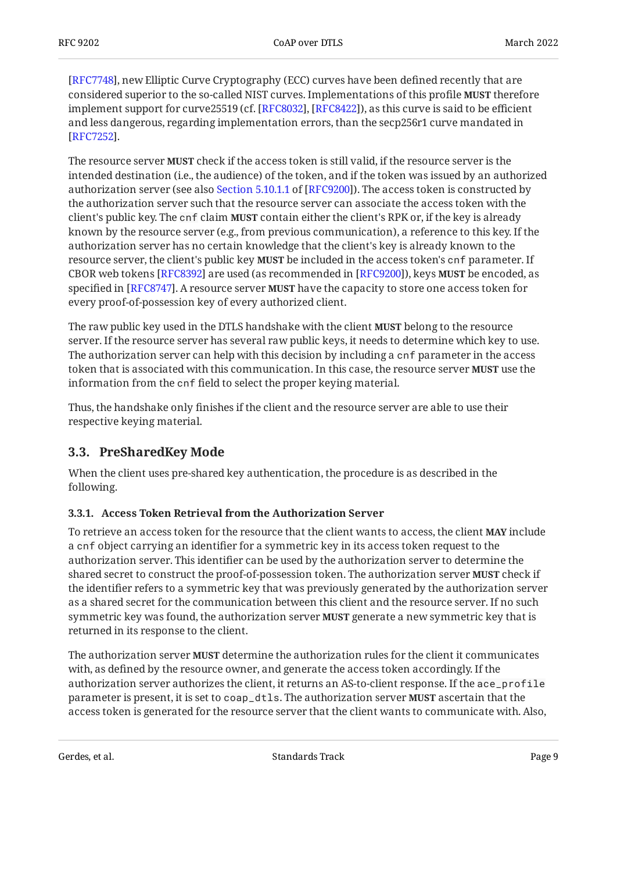[[RFC7748\]](#page-21-5), new Elliptic Curve Cryptography (ECC) curves have been defined recently that are considered superior to the so-called NIST curves. Implementations of this profile therefore **MUST** implement support for curve25519 (cf. [[RFC8032\]](#page-21-6), [RFC8422]), as this curve is said to be efficient and less dangerous, regarding implementation errors, than the secp256r1 curve mandated in . [[RFC7252\]](#page-20-0)

The resource server **MUST** check if the access token is still valid, if the resource server is the intended destination (i.e., the audience) of the token, and if the token was issued by an authorized authorizationserver (see also Section 5.10.1.1 of [RFC9200]). The access token is constructed by the authorization server such that the resource server can associate the access token with the client's public key. The <code>cnf</code> claim <code>MUST</code> contain either the client's RPK or, if the key is already known by the resource server (e.g., from previous communication), a reference to this key. If the authorization server has no certain knowledge that the client's key is already known to the resource server, the client's public key **MUST** be included in the access token's cnf parameter. If CBOR web tokens [RFC8392] are used (as recommended in [RFC9200]), keys **MUST** be encoded, as specified in [RFC8747]**.** A resource server **MUST** have the capacity to store one access token for every proof-of-possession key of every authorized client.

The raw public key used in the DTLS handshake with the client **MUST** belong to the resource server. If the resource server has several raw public keys, it needs to determine which key to use. The authorization server can help with this decision by including a cnf parameter in the access token that is associated with this communication. In this case, the resource server **MUST** use the information from the cnf field to select the proper keying material.

Thus, the handshake only finishes if the client and the resource server are able to use their respective keying material.

### <span id="page-8-0"></span>**[3.3. PreSharedKey Mode](#page-8-0)**

When the client uses pre-shared key authentication, the procedure is as described in the following.

#### <span id="page-8-1"></span>**[3.3.1. Access Token Retrieval from the Authorization Server](#page-8-1)**

To retrieve an access token for the resource that the client wants to access, the client **MAY** include a cnf object carrying an identifier for a symmetric key in its access token request to the authorization server. This identifier can be used by the authorization server to determine the shared secret to construct the proof-of-possession token. The authorization server **MUST** check if the identifier refers to a symmetric key that was previously generated by the authorization server as a shared secret for the communication between this client and the resource server. If no such symmetric key was found, the authorization server **MUST** generate a new symmetric key that is returned in its response to the client.

The authorization server **MUST** determine the authorization rules for the client it communicates with, as defined by the resource owner, and generate the access token accordingly. If the authorization server authorizes the client, it returns an AS-to-client response. If the ace\_profile parameter is present, it is set to coap\_dt1s. The authorization server **MUST** ascertain that the access token is generated for the resource server that the client wants to communicate with. Also,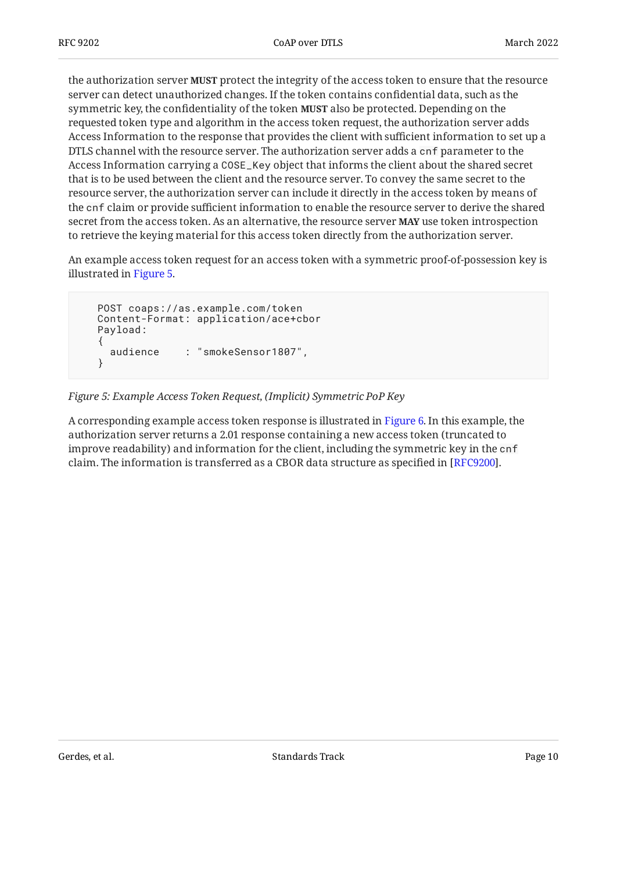the authorization server **MUST** protect the integrity of the access token to ensure that the resource server can detect unauthorized changes. If the token contains confidential data, such as the symmetric key, the confidentiality of the token **MUST** also be protected. Depending on the requested token type and algorithm in the access token request, the authorization server adds Access Information to the response that provides the client with sufficient information to set up a DTLS channel with the resource server. The authorization server adds a cnf parameter to the Access Information carrying a COSE\_Key object that informs the client about the shared secret that is to be used between the client and the resource server. To convey the same secret to the resource server, the authorization server can include it directly in the access token by means of the cnf claim or provide sufficient information to enable the resource server to derive the shared secret from the access token. As an alternative, the resource server **MAY** use token introspection to retrieve the keying material for this access token directly from the authorization server.

An example access token request for an access token with a symmetric proof-of-possession key is illustrated in [Figure 5.](#page-9-0)

```
 POST coaps://as.example.com/token
 Content-Format: application/ace+cbor
 Payload:
 {
   audience : "smokeSensor1807",
 }
```
#### *[Figure 5: Example Access Token Request, \(Implicit\) Symmetric PoP Key](#page-9-0)*

<span id="page-9-1"></span>A corresponding example access token response is illustrated in [Figure 6.](#page-10-0) In this example, the authorization server returns a 2.01 response containing a new access token (truncated to improve readability) and information for the client, including the symmetric key in the cnf claim. The information is transferred as a CBOR data structure as specified in [RFC9200].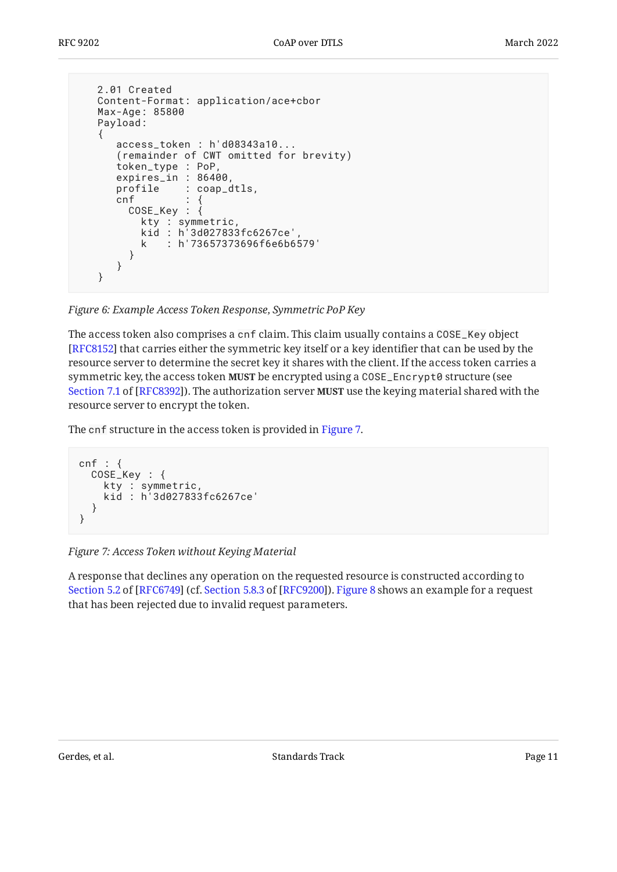```
 2.01 Created
   Content-Format: application/ace+cbor
   Max-Age: 85800
   Payload:
   {
 access_token : h'd08343a10...
 (remainder of CWT omitted for brevity)
      token_type : PoP,
      expires_in : 86400,
      profile : coap_dtls,
     cnf COSE_Key : {
          kty : symmetric,
 kid : h'3d027833fc6267ce',
 k : h'73657373696f6e6b6579'
        }
      }
   }
```
*[Figure 6:](#page-10-0) [Example Access Token Response, Symmetric PoP Key](#page-9-1)* 

The access token also comprises a cnf claim. This claim usually contains a COSE\_Key object [[RFC8152\]](#page-20-9) that carries either the symmetric key itself or a key identifier that can be used by the resource server to determine the secret key it shares with the client. If the access token carries a symmetric key, the access token **MUST** be encrypted using a COSE\_Encrypt0 structure (see [Section 7.1](https://www.rfc-editor.org/rfc/rfc8392#section-7.1) of [\[RFC8392\]](#page-20-7)). The authorization server **MUST** use the keying material shared with the resource server to encrypt the token.

The cnf structure in the access token is provided in [Figure 7.](#page-10-1)

```
cnf : {
 COSE_Key : {
     kty : symmetric,
     kid : h'3d027833fc6267ce'
   }
}
```
#### *[Figure 7: Access Token without Keying Material](#page-10-1)*

<span id="page-10-2"></span>A response that declines any operation on the requested resource is constructed according to Section 5.2 of [RFC6749] (cf. Section 5.8.3 of [RFC9200]). [Figure 8](#page-11-0) shows an example for a request that has been rejected due to invalid request parameters.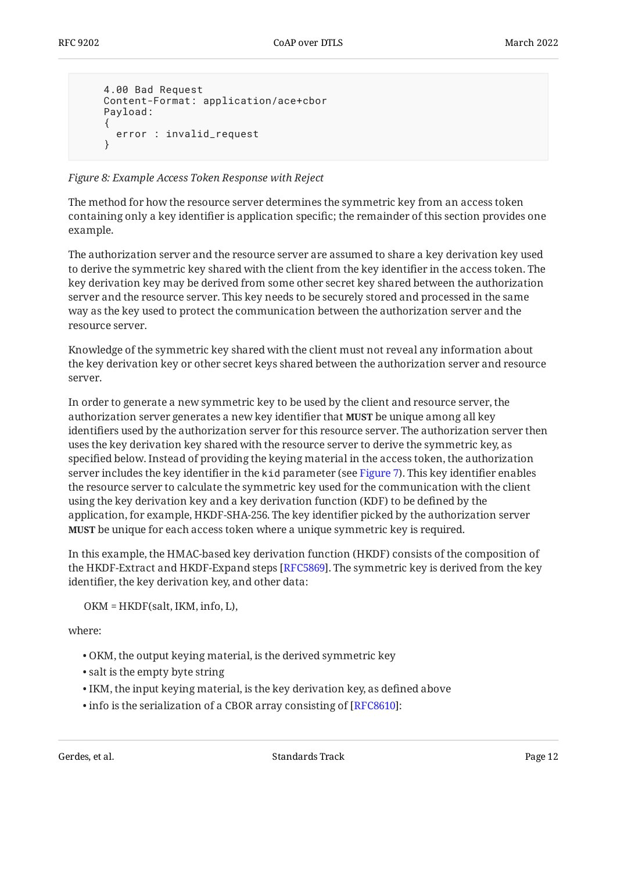```
 4.00 Bad Request
 Content-Format: application/ace+cbor
 Payload:
 {
   error : invalid_request
 }
```
*[Figure 8:](#page-11-0) [Example Access Token Response with Reject](#page-10-2)* 

The method for how the resource server determines the symmetric key from an access token containing only a key identifier is application specific; the remainder of this section provides one example.

The authorization server and the resource server are assumed to share a key derivation key used to derive the symmetric key shared with the client from the key identifier in the access token. The key derivation key may be derived from some other secret key shared between the authorization server and the resource server. This key needs to be securely stored and processed in the same way as the key used to protect the communication between the authorization server and the resource server.

Knowledge of the symmetric key shared with the client must not reveal any information about the key derivation key or other secret keys shared between the authorization server and resource server.

In order to generate a new symmetric key to be used by the client and resource server, the authorization server generates a new key identifier that **MUST** be unique among all key identifiers used by the authorization server for this resource server. The authorization server then uses the key derivation key shared with the resource server to derive the symmetric key, as specified below. Instead of providing the keying material in the access token, the authorization server includes the key identifier in the kid parameter (see [Figure 7\)](#page-10-1). This key identifier enables the resource server to calculate the symmetric key used for the communication with the client using the key derivation key and a key derivation function (KDF) to be defined by the application, for example, HKDF-SHA-256. The key identifier picked by the authorization server **MUST** be unique for each access token where a unique symmetric key is required.

In this example, the HMAC-based key derivation function (HKDF) consists of the composition of the HKDF-Extract and HKDF-Expand steps [RFC5869]. The symmetric key is derived from the key identifier, the key derivation key, and other data:

OKM = HKDF(salt, IKM, info, L),

where:

- OKM, the output keying material, is the derived symmetric key •
- salt is the empty byte string
- IKM, the input keying material, is the key derivation key, as defined above •
- $\bullet$  info is the serialization of a CBOR array consisting of [[RFC8610\]](#page-21-8):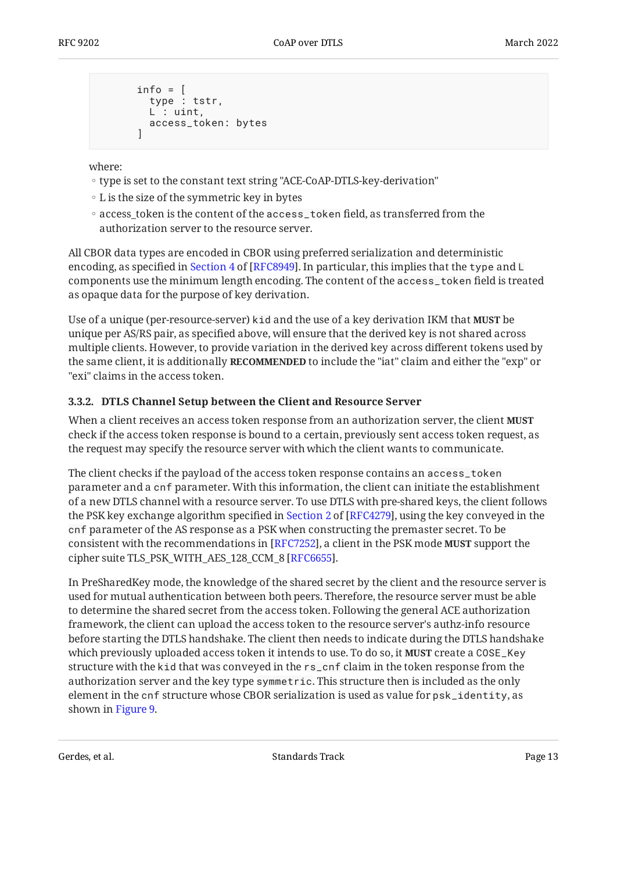```
info = \lceil type : tstr,
   L : uint,
   access_token: bytes
 ]
```
where:

- type is set to the constant text string "ACE-CoAP-DTLS-key-derivation" ◦
- L is the size of the symmetric key in bytes
- access\_token is the content of the access\_token field, as transferred from the authorization server to the resource server.

All CBOR data types are encoded in CBOR using preferred serialization and deterministic encoding,as specified in Section 4 of [RFC8949]. In particular, this implies that the <code>type</code> and <code>L</code> components use the minimum length encoding. The content of the access\_token field is treated as opaque data for the purpose of key derivation.

Use of a unique (per-resource-server) kid and the use of a key derivation IKM that **MUST** be unique per AS/RS pair, as specified above, will ensure that the derived key is not shared across multiple clients. However, to provide variation in the derived key across different tokens used by the same client, it is additionally **RECOMMENDED** to include the "iat" claim and either the "exp" or "exi" claims in the access token.

#### <span id="page-12-0"></span>**[3.3.2. DTLS Channel Setup between the Client and Resource Server](#page-12-0)**

When a client receives an access token response from an authorization server, the client **MUST** check if the access token response is bound to a certain, previously sent access token request, as the request may specify the resource server with which the client wants to communicate.

The client checks if the payload of the access token response contains an access\_token parameter and a cnf parameter. With this information, the client can initiate the establishment of a new DTLS channel with a resource server. To use DTLS with pre-shared keys, the client follows thePSK key exchange algorithm specified in Section 2 of [RFC4279], using the key conveyed in the cnf parameter of the AS response as a PSK when constructing the premaster secret. To be consistent with the recommendations in [RFC7252], a client in the PSK mode **MUST** support the cipher suite TLS\_PSK\_WITH\_AES\_128\_CCM\_8 [RFC6655].

In PreSharedKey mode, the knowledge of the shared secret by the client and the resource server is used for mutual authentication between both peers. Therefore, the resource server must be able to determine the shared secret from the access token. Following the general ACE authorization framework, the client can upload the access token to the resource server's authz-info resource before starting the DTLS handshake. The client then needs to indicate during the DTLS handshake which previously uploaded access token it intends to use. To do so, it **MUST** create a COSE\_Key structure with the kid that was conveyed in the rs\_cnf claim in the token response from the authorization server and the key type symmetric. This structure then is included as the only element in the cnf structure whose CBOR serialization is used as value for psk\_identity, as shown in [Figure 9.](#page-13-0)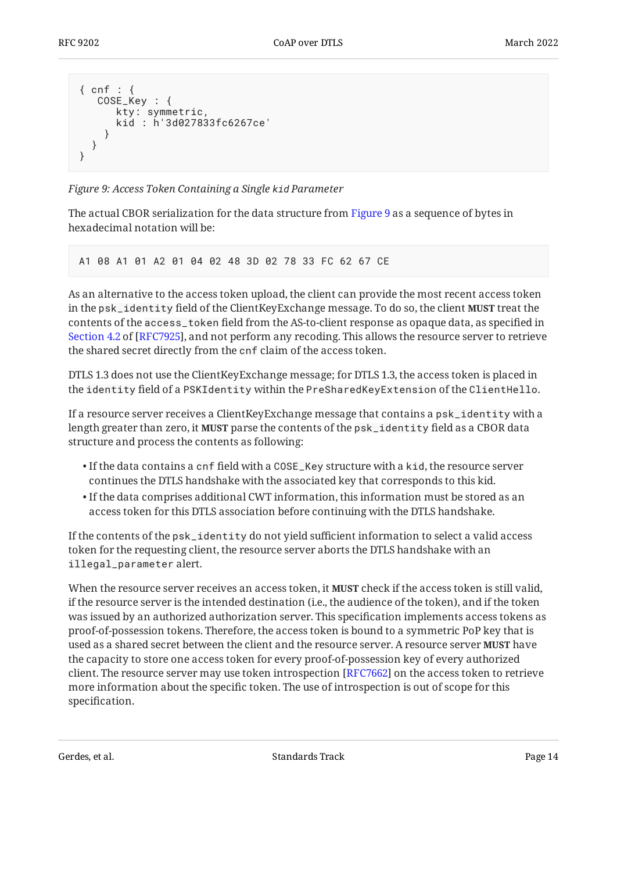```
{ cnf : {
    COSE_Key : {
       kty: symmetric,
       kid : h'3d027833fc6267ce'
     }
   }
}
```
*[Figure 9: Access Token Containing a Single](#page-13-0) [kid](#page-13-0) Parameter* 

The actual CBOR serialization for the data structure from [Figure 9](#page-13-0) as a sequence of bytes in hexadecimal notation will be:

A1 08 A1 01 A2 01 04 02 48 3D 02 78 33 FC 62 67 CE

As an alternative to the access token upload, the client can provide the most recent access token in the psk\_identity field of the ClientKeyExchange message. To do so, the client **MUST** treat the contents of the access\_token field from the AS-to-client response as opaque data, as specified in [Section 4.2](https://www.rfc-editor.org/rfc/rfc7925#section-4.2) of [\[RFC7925\]](#page-20-11), and not perform any recoding. This allows the resource server to retrieve the shared secret directly from the cnf claim of the access token.

DTLS 1.3 does not use the ClientKeyExchange message; for DTLS 1.3, the access token is placed in the identity field of a PSKIdentity within the PreSharedKeyExtension of the ClientHello.

If a resource server receives a ClientKeyExchange message that contains a psk\_identity with a length greater than zero, it **MUST** parse the contents of the psk\_identity field as a CBOR data structure and process the contents as following:

- $\bullet$  If the data contains a <code>cnf</code> field with a <code>COSE\_Key</code> structure with a <code>kid,</code> the resource server continues the DTLS handshake with the associated key that corresponds to this kid.
- $\bullet$  If the data comprises additional CWT information, this information must be stored as an access token for this DTLS association before continuing with the DTLS handshake.

If the contents of the psk\_identity do not yield sufficient information to select a valid access token for the requesting client, the resource server aborts the DTLS handshake with an illegal\_parameter alert.

When the resource server receives an access token, it **MUST** check if the access token is still valid, if the resource server is the intended destination (i.e., the audience of the token), and if the token was issued by an authorized authorization server. This specification implements access tokens as proof-of-possession tokens. Therefore, the access token is bound to a symmetric PoP key that is used as a shared secret between the client and the resource server. A resource server **MUST** have the capacity to store one access token for every proof-of-possession key of every authorized client. The resource server may use token introspection [RFC7662] on the access token to retrieve more information about the specific token. The use of introspection is out of scope for this specification.

Gerdes, et al. Note as a standard between the Standards Track Cerdes, et al. Page 14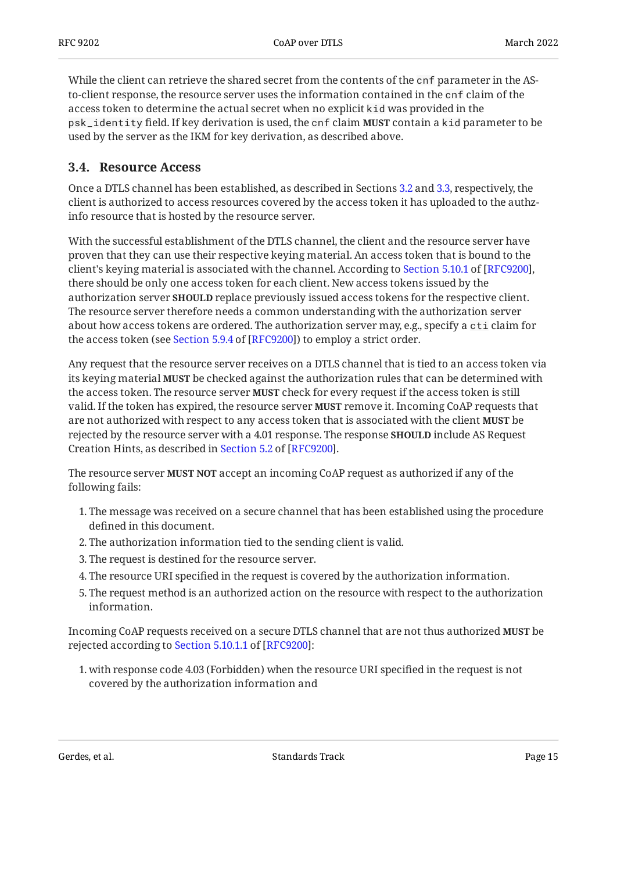While the client can retrieve the shared secret from the contents of the cnf parameter in the ASto-client response, the resource server uses the information contained in the cnf claim of the access token to determine the actual secret when no explicit kid was provided in the psk\_identity field. If key derivation is used, the cnf claim **MUST** contain a kid parameter to be used by the server as the IKM for key derivation, as described above.

#### <span id="page-14-0"></span>**[3.4. Resource Access](#page-14-0)**

Once a DTLS channel has been established, as described in Sections [3.2](#page-5-1) and [3.3](#page-8-0), respectively, the client is authorized to access resources covered by the access token it has uploaded to the authzinfo resource that is hosted by the resource server.

With the successful establishment of the DTLS channel, the client and the resource server have proven that they can use their respective keying material. An access token that is bound to the client'skeying material is associated with the channel. According to Section 5.10.1 of [RFC9200], there should be only one access token for each client. New access tokens issued by the authorization server **SHOULD** replace previously issued access tokens for the respective client. The resource server therefore needs a common understanding with the authorization server about how access tokens are ordered. The authorization server may, e.g., specify a cti claim for theaccess token (see Section 5.9.4 of [RFC9200]) to employ a strict order.

Any request that the resource server receives on a DTLS channel that is tied to an access token via its keying material **MUST** be checked against the authorization rules that can be determined with the access token. The resource server **MUST** check for every request if the access token is still valid. If the token has expired, the resource server **MUST** remove it. Incoming CoAP requests that are not authorized with respect to any access token that is associated with the client **MUST** be rejected by the resource server with a 4.01 response. The response **SHOULD** include AS Request CreationHints, as described in Section 5.2 of [RFC9200].

The resource server **MUST NOT** accept an incoming CoAP request as authorized if any of the following fails:

- The message was received on a secure channel that has been established using the procedure 1. defined in this document.
- 2. The authorization information tied to the sending client is valid.
- 3. The request is destined for the resource server.
- The resource URI specified in the request is covered by the authorization information. 4.
- The request method is an authorized action on the resource with respect to the authorization 5. information.

Incoming CoAP requests received on a secure DTLS channel that are not thus authorized **MUST** be rejectedaccording to Section 5.10.1.1 of [RFC9200]:

1. with response code 4.03 (Forbidden) when the resource URI specified in the request is not covered by the authorization information and

Gerdes, et al. Note as a standard between the Standards Track Cerdes, et al. Page 15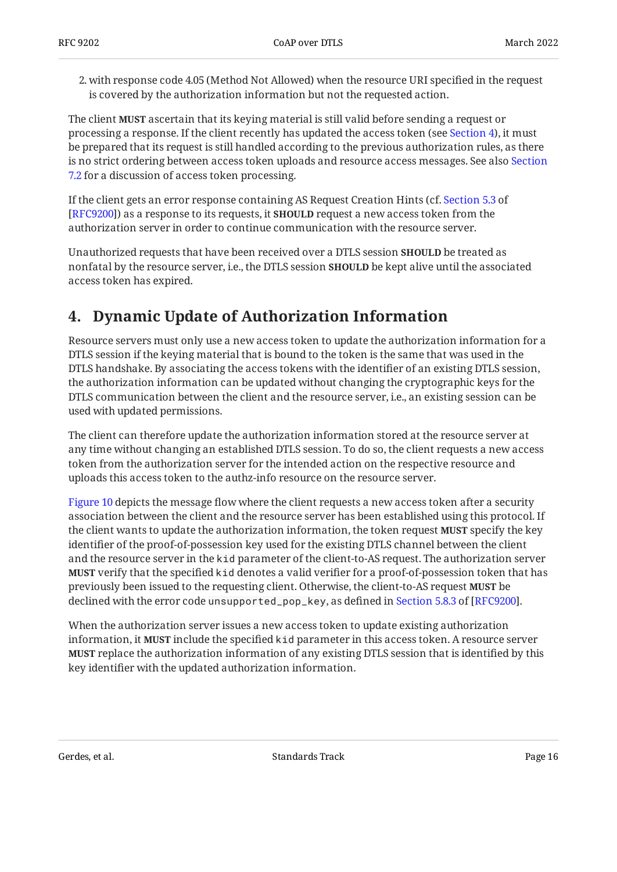2. with response code 4.05 (Method Not Allowed) when the resource URI specified in the request is covered by the authorization information but not the requested action.

The client **MUST** ascertain that its keying material is still valid before sending a request or processing a response. If the client recently has updated the access token (see [Section 4\)](#page-15-0), it must be prepared that its request is still handled according to the previous authorization rules, as there is no strict ordering between access token uploads and resource access messages. See also [Section](#page-18-1) [7.2](#page-18-1) for a discussion of access token processing.

If the client gets an error response containing AS Request Creation Hints (cf. [Section 5.3](https://www.rfc-editor.org/rfc/rfc9200#section-5.3) of [[RFC9200\]](#page-21-2)) as a response to its requests, it **SHOULD** request a new access token from the authorization server in order to continue communication with the resource server.

Unauthorized requests that have been received over a DTLS session **SHOULD** be treated as nonfatal by the resource server, i.e., the DTLS session **SHOULD** be kept alive until the associated access token has expired.

## <span id="page-15-0"></span>**[4. Dynamic Update of Authorization Information](#page-15-0)**

Resource servers must only use a new access token to update the authorization information for a DTLS session if the keying material that is bound to the token is the same that was used in the DTLS handshake. By associating the access tokens with the identifier of an existing DTLS session, the authorization information can be updated without changing the cryptographic keys for the DTLS communication between the client and the resource server, i.e., an existing session can be used with updated permissions.

The client can therefore update the authorization information stored at the resource server at any time without changing an established DTLS session. To do so, the client requests a new access token from the authorization server for the intended action on the respective resource and uploads this access token to the authz-info resource on the resource server.

[Figure 10](#page-16-2) depicts the message flow where the client requests a new access token after a security association between the client and the resource server has been established using this protocol. If the client wants to update the authorization information, the token request **MUST** specify the key identifier of the proof-of-possession key used for the existing DTLS channel between the client and the resource server in the kid parameter of the client-to-AS request. The authorization server **MUST** verify that the specified k<code>id</code> denotes a valid verifier for a proof-of-possession token that has previously been issued to the requesting client. Otherwise, the client-to-AS request **MUST** be declinedwith the error code unsupported\_pop\_key, as defined in Section 5.8.3 of [RFC9200].

<span id="page-15-1"></span>When the authorization server issues a new access token to update existing authorization information, it **MUST** include the specified kid parameter in this access token. A resource server **MUST** replace the authorization information of any existing DTLS session that is identified by this key identifier with the updated authorization information.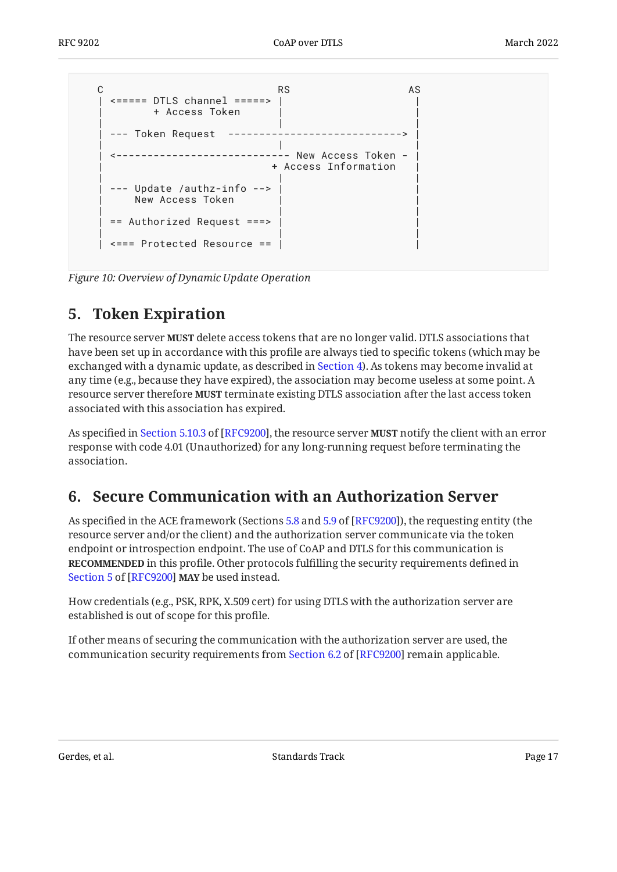```
C AS RS AS
   | <===== DTLS channel =====> | |
      + Access Token
 | | |
  --- Token Request ----------
 | | |
 | <---------------------------- New Access Token - |
                + Access Information
 | | |
   | --- Update /authz-info --> | |
    New Access Token
 | | |
  == Authorized Request == | | |
  \leq == Protected Resource == |
```
<span id="page-16-0"></span>*[Figure 10:](#page-16-2) [Overview of Dynamic Update Operation](#page-15-1)* 

## **[5. Token Expiration](#page-16-0)**

The resource server **MUST** delete access tokens that are no longer valid. DTLS associations that have been set up in accordance with this profile are always tied to specific tokens (which may be exchanged with a dynamic update, as described in [Section 4\)](#page-15-0). As tokens may become invalid at any time (e.g., because they have expired), the association may become useless at some point. A resource server therefore **MUST** terminate existing DTLS association after the last access token associated with this association has expired.

Asspecified in Section 5.10.3 of [RFC9200], the resource server **MUST** notify the client with an error response with code 4.01 (Unauthorized) for any long-running request before terminating the association.

## <span id="page-16-1"></span>**[6. Secure Communication with an Authorization Server](#page-16-1)**

As specified in the ACE framework (Sections [5.8](https://www.rfc-editor.org/rfc/rfc9200#section-5.8) and [5.9](https://www.rfc-editor.org/rfc/rfc9200#section-5.9) of [[RFC9200\]](#page-21-2)), the requesting entity (the resource server and/or the client) and the authorization server communicate via the token endpoint or introspection endpoint. The use of CoAP and DTLS for this communication is **RECOMMENDED** in this profile. Other protocols fulfilling the security requirements defined in [Section 5](https://www.rfc-editor.org/rfc/rfc9200#section-5) of [[RFC9200\]](#page-21-2) MAY be used instead.

How credentials (e.g., PSK, RPK, X.509 cert) for using DTLS with the authorization server are established is out of scope for this profile.

If other means of securing the communication with the authorization server are used, the communicationsecurity requirements from Section 6.2 of [RFC9200] remain applicable.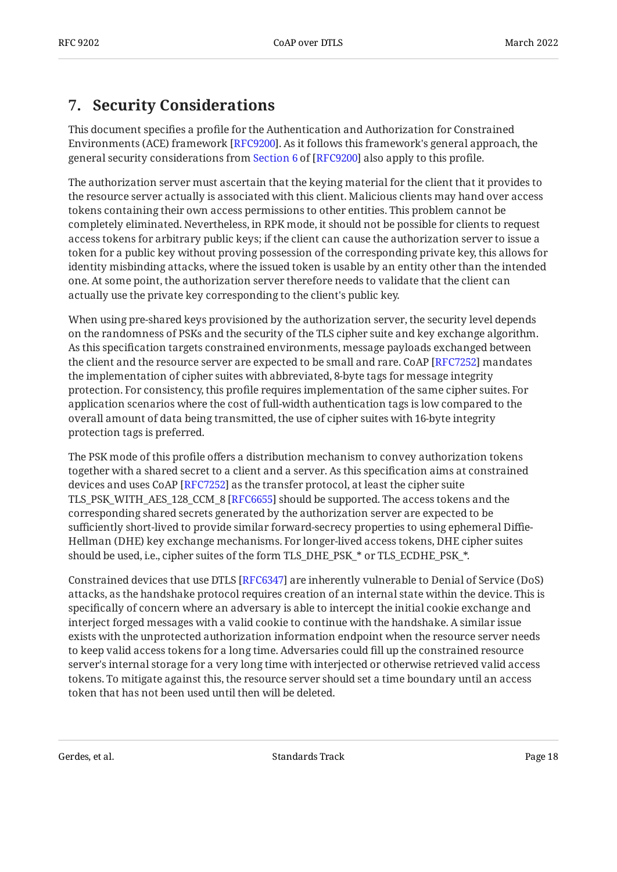## <span id="page-17-0"></span>**[7. Security Considerations](#page-17-0)**

This document specifies a profile for the Authentication and Authorization for Constrained Environments (ACE) framework [[RFC9200\]](#page-21-2). As it follows this framework's general approach, the generalsecurity considerations from Section 6 of [RFC9200] also apply to this profile.

The authorization server must ascertain that the keying material for the client that it provides to the resource server actually is associated with this client. Malicious clients may hand over access tokens containing their own access permissions to other entities. This problem cannot be completely eliminated. Nevertheless, in RPK mode, it should not be possible for clients to request access tokens for arbitrary public keys; if the client can cause the authorization server to issue a token for a public key without proving possession of the corresponding private key, this allows for identity misbinding attacks, where the issued token is usable by an entity other than the intended one. At some point, the authorization server therefore needs to validate that the client can actually use the private key corresponding to the client's public key.

When using pre-shared keys provisioned by the authorization server, the security level depends on the randomness of PSKs and the security of the TLS cipher suite and key exchange algorithm. As this specification targets constrained environments, message payloads exchanged between the client and the resource server are expected to be small and rare.  $\mathop{\mathrm{CoAP}}\left[\mathop{\mathrm{RFC7252}}\right]$  mandates the implementation of cipher suites with abbreviated, 8-byte tags for message integrity protection. For consistency, this profile requires implementation of the same cipher suites. For application scenarios where the cost of full-width authentication tags is low compared to the overall amount of data being transmitted, the use of cipher suites with 16-byte integrity protection tags is preferred.

The PSK mode of this profile offers a distribution mechanism to convey authorization tokens together with a shared secret to a client and a server. As this specification aims at constrained devices and uses CoAP [RFC7252] as the transfer protocol, at least the cipher suite TLS\_PSK\_WITH\_AES\_128\_CCM\_8 [\[RFC6655](#page-21-10)] should be supported. The access tokens and the corresponding shared secrets generated by the authorization server are expected to be sufficiently short-lived to provide similar forward-secrecy properties to using ephemeral Diffie-Hellman (DHE) key exchange mechanisms. For longer-lived access tokens, DHE cipher suites should be used, i.e., cipher suites of the form TLS\_DHE\_PSK\_\* or TLS\_ECDHE\_PSK\_\*.

Constrained devices that use DTLS [[RFC6347\]](#page-20-1) are inherently vulnerable to Denial of Service (DoS) attacks, as the handshake protocol requires creation of an internal state within the device. This is specifically of concern where an adversary is able to intercept the initial cookie exchange and interject forged messages with a valid cookie to continue with the handshake. A similar issue exists with the unprotected authorization information endpoint when the resource server needs to keep valid access tokens for a long time. Adversaries could fill up the constrained resource server's internal storage for a very long time with interjected or otherwise retrieved valid access tokens. To mitigate against this, the resource server should set a time boundary until an access token that has not been used until then will be deleted.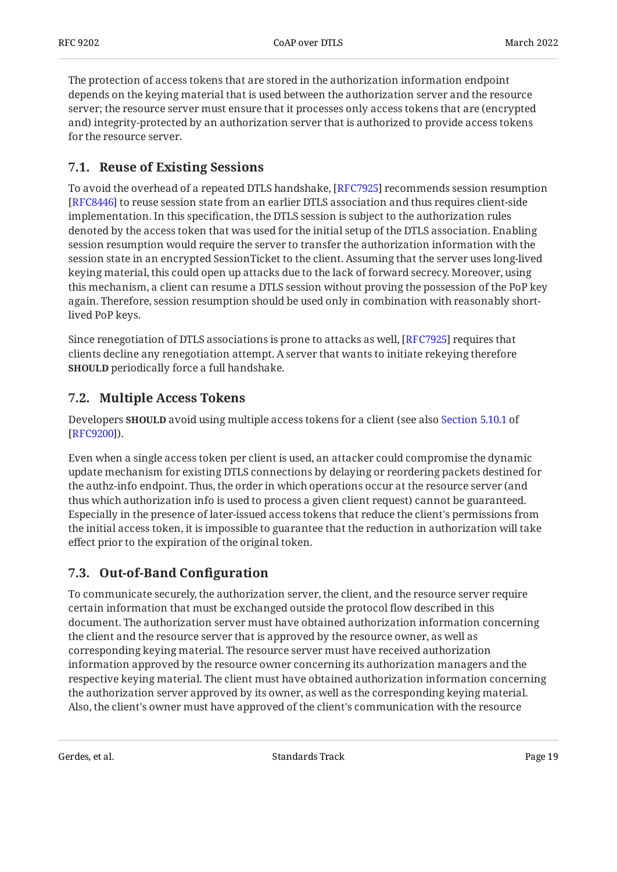The protection of access tokens that are stored in the authorization information endpoint depends on the keying material that is used between the authorization server and the resource server; the resource server must ensure that it processes only access tokens that are (encrypted and) integrity-protected by an authorization server that is authorized to provide access tokens for the resource server.

### <span id="page-18-0"></span>**[7.1. Reuse of Existing Sessions](#page-18-0)**

To avoid the overhead of a repeated DTLS handshake, [\[RFC7925](#page-20-11)] recommends session resumption [[RFC8446\]](#page-21-11) to reuse session state from an earlier DTLS association and thus requires client-side implementation. In this specification, the DTLS session is subject to the authorization rules denoted by the access token that was used for the initial setup of the DTLS association. Enabling session resumption would require the server to transfer the authorization information with the session state in an encrypted SessionTicket to the client. Assuming that the server uses long-lived keying material, this could open up attacks due to the lack of forward secrecy. Moreover, using this mechanism, a client can resume a DTLS session without proving the possession of the PoP key again. Therefore, session resumption should be used only in combination with reasonably shortlived PoP keys.

Since renegotiation of DTLS associations is prone to attacks as well, [\[RFC7925](#page-20-11)] requires that clients decline any renegotiation attempt. A server that wants to initiate rekeying therefore **SHOULD** periodically force a full handshake.

### <span id="page-18-1"></span>**[7.2. Multiple Access Tokens](#page-18-1)**

Developers **SHOULD** avoid using multiple access tokens for a client (see also [Section 5.10.1](https://www.rfc-editor.org/rfc/rfc9200#section-5.10.1) of [[RFC9200\]](#page-21-2)).

Even when a single access token per client is used, an attacker could compromise the dynamic update mechanism for existing DTLS connections by delaying or reordering packets destined for the authz-info endpoint. Thus, the order in which operations occur at the resource server (and thus which authorization info is used to process a given client request) cannot be guaranteed. Especially in the presence of later-issued access tokens that reduce the client's permissions from the initial access token, it is impossible to guarantee that the reduction in authorization will take effect prior to the expiration of the original token.

### <span id="page-18-2"></span>**[7.3. Out-of-Band Con](#page-18-2)figuration**

To communicate securely, the authorization server, the client, and the resource server require certain information that must be exchanged outside the protocol flow described in this document. The authorization server must have obtained authorization information concerning the client and the resource server that is approved by the resource owner, as well as corresponding keying material. The resource server must have received authorization information approved by the resource owner concerning its authorization managers and the respective keying material. The client must have obtained authorization information concerning the authorization server approved by its owner, as well as the corresponding keying material. Also, the client's owner must have approved of the client's communication with the resource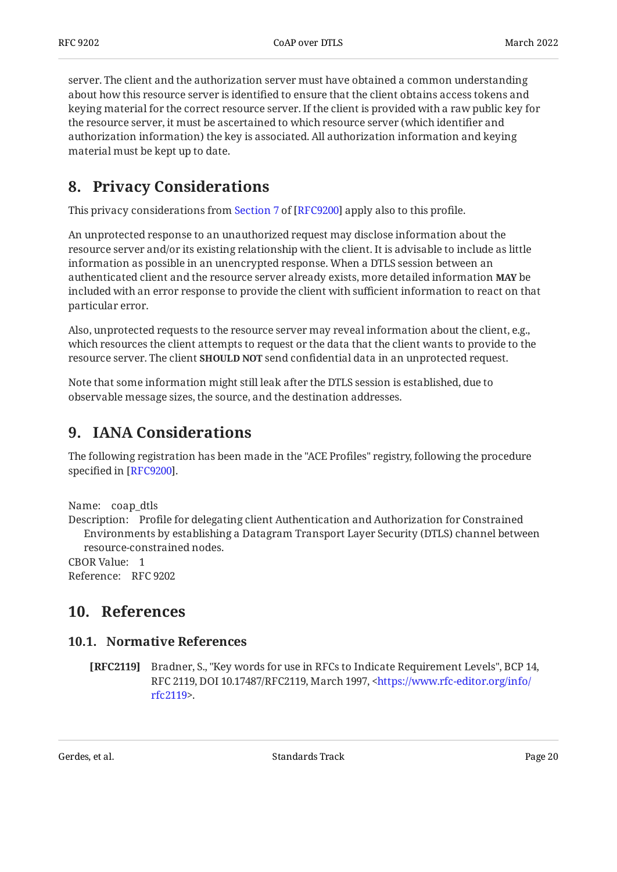server. The client and the authorization server must have obtained a common understanding about how this resource server is identified to ensure that the client obtains access tokens and keying material for the correct resource server. If the client is provided with a raw public key for the resource server, it must be ascertained to which resource server (which identifier and authorization information) the key is associated. All authorization information and keying material must be kept up to date.

## <span id="page-19-0"></span>**[8. Privacy Considerations](#page-19-0)**

Thisprivacy considerations from Section 7 of [RFC9200] apply also to this profile.

An unprotected response to an unauthorized request may disclose information about the resource server and/or its existing relationship with the client. It is advisable to include as little information as possible in an unencrypted response. When a DTLS session between an authenticated client and the resource server already exists, more detailed information **MAY** be included with an error response to provide the client with sufficient information to react on that particular error.

Also, unprotected requests to the resource server may reveal information about the client, e.g., which resources the client attempts to request or the data that the client wants to provide to the resource server. The client **SHOULD NOT** send confidential data in an unprotected request.

Note that some information might still leak after the DTLS session is established, due to observable message sizes, the source, and the destination addresses.

## <span id="page-19-1"></span>**[9. IANA Considerations](#page-19-1)**

The following registration has been made in the "ACE Profiles" registry, following the procedure specified in [[RFC9200\]](#page-21-2).

Name: coap\_dtls

Description: Profile for delegating client Authentication and Authorization for Constrained Environments by establishing a Datagram Transport Layer Security (DTLS) channel between resource-constrained nodes.

<span id="page-19-2"></span>CBOR Value: 1 Reference: RFC 9202

### <span id="page-19-3"></span>**[10. References](#page-19-2)**

### **[10.1. Normative References](#page-19-3)**

<span id="page-19-4"></span>**[RFC2119]** Bradner, S., "Key words for use in RFCs to Indicate Requirement Levels", BCP 14, RFC 2119, DOI 10.17487/RFC2119, March 1997, [<https://www.rfc-editor.org/info/](https://www.rfc-editor.org/info/rfc2119) . [rfc2119](https://www.rfc-editor.org/info/rfc2119)>

Gerdes, et al. Note as a standard between the Standards Track Cerdes, et al. Page 20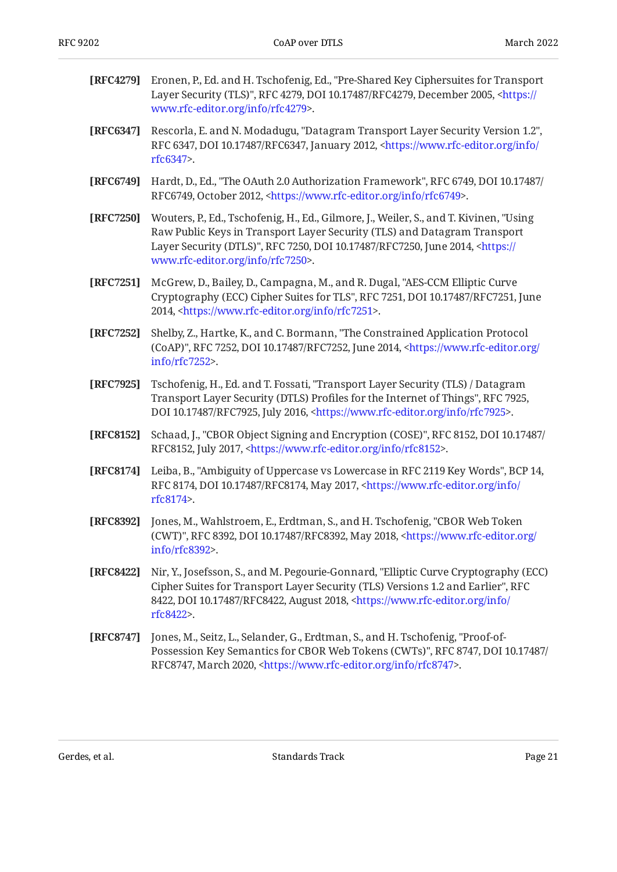<span id="page-20-11"></span><span id="page-20-10"></span><span id="page-20-5"></span><span id="page-20-3"></span><span id="page-20-2"></span><span id="page-20-1"></span><span id="page-20-0"></span>

| [RFC4279] | Eronen, P., Ed. and H. Tschofenig, Ed., "Pre-Shared Key Ciphersuites for Transport<br>Layer Security (TLS)", RFC 4279, DOI 10.17487/RFC4279, December 2005, <https: <br="">www.rfc-editor.org/info/rfc4279&gt;.</https:>                                                                              |
|-----------|-------------------------------------------------------------------------------------------------------------------------------------------------------------------------------------------------------------------------------------------------------------------------------------------------------|
| [RFC6347] | Rescorla, E. and N. Modadugu, "Datagram Transport Layer Security Version 1.2",<br>RFC 6347, DOI 10.17487/RFC6347, January 2012, <https: <br="" info="" www.rfc-editor.org="">rfc6347&gt;.</https:>                                                                                                    |
| [RFC6749] | Hardt, D., Ed., "The OAuth 2.0 Authorization Framework", RFC 6749, DOI 10.17487/<br>RFC6749, October 2012, <https: info="" rfc6749="" www.rfc-editor.org="">.</https:>                                                                                                                                |
| [RFC7250] | Wouters, P., Ed., Tschofenig, H., Ed., Gilmore, J., Weiler, S., and T. Kivinen, "Using<br>Raw Public Keys in Transport Layer Security (TLS) and Datagram Transport<br>Layer Security (DTLS)", RFC 7250, DOI 10.17487/RFC7250, June 2014, <https: <br="">www.rfc-editor.org/info/rfc7250&gt;.</https:> |
| [RFC7251] | McGrew, D., Bailey, D., Campagna, M., and R. Dugal, "AES-CCM Elliptic Curve<br>Cryptography (ECC) Cipher Suites for TLS", RFC 7251, DOI 10.17487/RFC7251, June<br>2014, <https: info="" rfc7251="" www.rfc-editor.org="">.</https:>                                                                   |
| [RFC7252] | Shelby, Z., Hartke, K., and C. Bormann, "The Constrained Application Protocol<br>(CoAP)", RFC 7252, DOI 10.17487/RFC7252, June 2014, <https: <br="" www.rfc-editor.org="">info/rfc7252&gt;.</https:>                                                                                                  |
| [RFC7925] | Tschofenig, H., Ed. and T. Fossati, "Transport Layer Security (TLS) / Datagram<br>Transport Layer Security (DTLS) Profiles for the Internet of Things", RFC 7925,<br>DOI 10.17487/RFC7925, July 2016, <https: info="" rfc7925="" www.rfc-editor.org="">.</https:>                                     |
| [RFC8152] | Schaad, J., "CBOR Object Signing and Encryption (COSE)", RFC 8152, DOI 10.17487/<br>RFC8152, July 2017, <https: info="" rfc8152="" www.rfc-editor.org="">.</https:>                                                                                                                                   |
| [RFC8174] | Leiba, B., "Ambiguity of Uppercase vs Lowercase in RFC 2119 Key Words", BCP 14,<br>RFC 8174, DOI 10.17487/RFC8174, May 2017, <https: <br="" info="" www.rfc-editor.org="">rfc8174&gt;.</https:>                                                                                                       |
| [RFC8392] | Jones, M., Wahlstroem, E., Erdtman, S., and H. Tschofenig, "CBOR Web Token<br>(CWT)", RFC 8392, DOI 10.17487/RFC8392, May 2018, <https: <br="" www.rfc-editor.org="">info/rfc8392&gt;.</https:>                                                                                                       |
| [RFC8422] | Nir, Y., Josefsson, S., and M. Pegourie-Gonnard, "Elliptic Curve Cryptography (ECC)<br>Cipher Suites for Transport Layer Security (TLS) Versions 1.2 and Earlier", RFC<br>8422, DOI 10.17487/RFC8422, August 2018, <https: <br="" info="" www.rfc-editor.org="">rfc8422&gt;.</https:>                 |
| [RFC8747] | Jones, M., Seitz, L., Selander, G., Erdtman, S., and H. Tschofenig, "Proof-of-<br>Possession Key Semantics for CBOR Web Tokens (CWTs)", RFC 8747, DOI 10.17487/<br>RFC8747, March 2020, <https: info="" rfc8747="" www.rfc-editor.org="">.</https:>                                                   |
|           |                                                                                                                                                                                                                                                                                                       |

<span id="page-20-9"></span><span id="page-20-8"></span><span id="page-20-7"></span><span id="page-20-6"></span><span id="page-20-4"></span>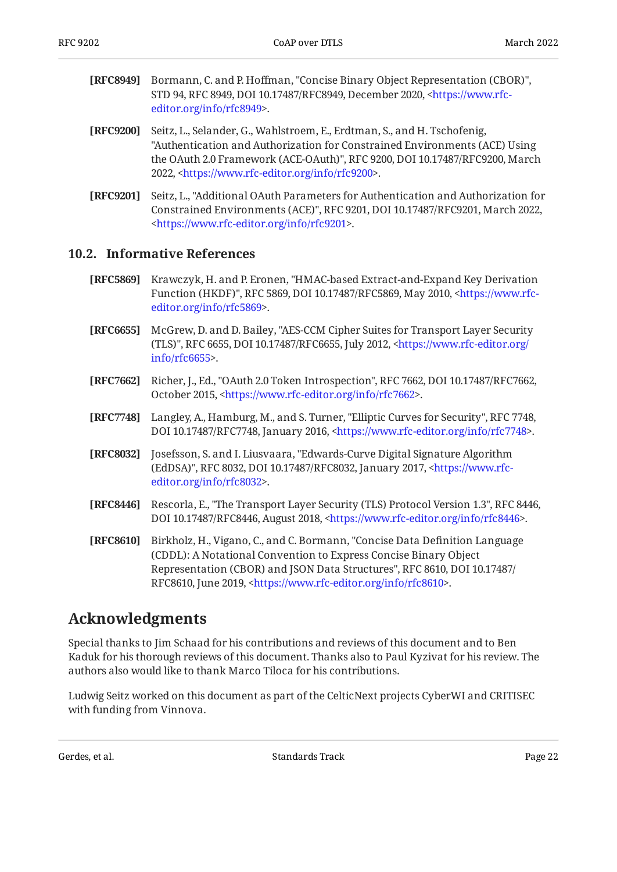- <span id="page-21-9"></span>**[RFC8949]** Bormann, C. and P. Hoffman, "Concise Binary Object Representation (CBOR)", STD 94, RFC 8949, DOI 10.17487/RFC8949, December 2020, [<https://www.rfc-](https://www.rfc-editor.org/info/rfc8949). [editor.org/info/rfc8949](https://www.rfc-editor.org/info/rfc8949)>
- <span id="page-21-2"></span>**[RFC9200]** Seitz, L., Selander, G., Wahlstroem, E., Erdtman, S., and H. Tschofenig, the OAuth 2.0 Framework (ACE-OAuth)", RFC 9200, DOI 10.17487/RFC9200, March 2022, <https://www.rfc-editor.org/info/rfc9200>. "Authentication and Authorization for Constrained Environments (ACE) Using
- <span id="page-21-4"></span>**[RFC9201]** , Seitz, L. "Additional OAuth Parameters for Authentication and Authorization for Constrained Environments (ACE)", RFC 9201, DOI 10.17487/RFC9201, March 2022, . [<https://www.rfc-editor.org/info/rfc9201](https://www.rfc-editor.org/info/rfc9201)>

#### <span id="page-21-0"></span>**[10.2. Informative References](#page-21-0)**

- <span id="page-21-7"></span>**[RFC5869]** Krawczyk, H. and P. Eronen, "HMAC-based Extract-and-Expand Key Derivation Function (HKDF)", RFC 5869, DOI 10.17487/RFC5869, May 2010, <[https://www.rfc-](https://www.rfc-editor.org/info/rfc5869). [editor.org/info/rfc5869](https://www.rfc-editor.org/info/rfc5869)>
- <span id="page-21-10"></span>**[RFC6655]** McGrew, D. and D. Bailey, "AES-CCM Cipher Suites for Transport Layer Security (TLS)", RFC 6655, DOI 10.17487/RFC6655, July 2012, [<https://www.rfc-editor.org/](https://www.rfc-editor.org/info/rfc6655) . [info/rfc6655>](https://www.rfc-editor.org/info/rfc6655)
- <span id="page-21-3"></span>**[RFC7662]** Richer, J., Ed., "OAuth 2.0 Token Introspection", RFC 7662, DOI 10.17487/RFC7662, October 2015, [<https://www.rfc-editor.org/info/rfc7662](https://www.rfc-editor.org/info/rfc7662)>.
- <span id="page-21-5"></span>**[RFC7748]** Langley, A., Hamburg, M., and S. Turner, "Elliptic Curves for Security", RFC 7748, DOI 10.17487/RFC7748, January 2016, [<https://www.rfc-editor.org/info/rfc7748](https://www.rfc-editor.org/info/rfc7748)>.
- <span id="page-21-6"></span>**[RFC8032]** Josefsson, S. and I. Liusvaara, "Edwards-Curve Digital Signature Algorithm (EdDSA)", RFC 8032, DOI 10.17487/RFC8032, January 2017, [<https://www.rfc-](https://www.rfc-editor.org/info/rfc8032). [editor.org/info/rfc8032](https://www.rfc-editor.org/info/rfc8032)>
- <span id="page-21-11"></span>**[RFC8446]** Rescorla, E., "The Transport Layer Security (TLS) Protocol Version 1.3", RFC 8446, DOI 10.17487/RFC8446, August 2018, <https://www.rfc-editor.org/info/rfc8446>.
- <span id="page-21-8"></span>**[RFC8610]** Birkholz, H., Vigano, C., and C. Bormann, "Concise Data Definition Language Representation (CBOR) and JSON Data Structures", RFC 8610, DOI 10.17487/ RFC8610, June 2019, <https://www.rfc-editor.org/info/rfc8610>. (CDDL): A Notational Convention to Express Concise Binary Object

### <span id="page-21-1"></span>**[Acknowledgments](#page-21-1)**

Special thanks to Jim Schaad for his contributions and reviews of this document and to Ben Kaduk for his thorough reviews of this document. Thanks also to Paul Kyzivat for his review. The authors also would like to thank Marco Tiloca for his contributions.

Ludwig Seitz worked on this document as part of the CelticNext projects CyberWI and CRITISEC with funding from Vinnova.